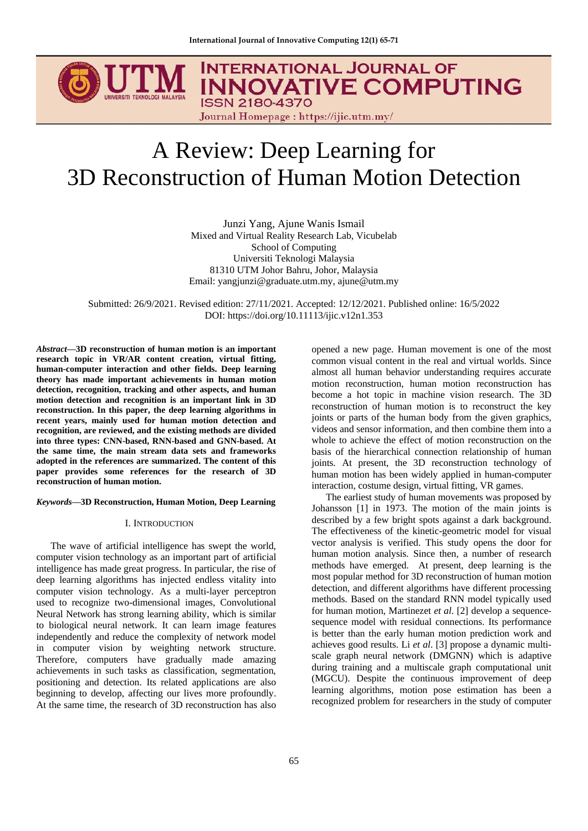# **INTERNATIONAL JOURNAL OF INNOVATIVE COMPUTING ISSN 2180-4370** Journal Homepage: https://ijic.utm.my/

# A Review: Deep Learning for 3D Reconstruction of Human Motion Detection

Junzi Yang, Ajune Wanis Ismail Mixed and Virtual Reality Research Lab, Vicubelab School of Computing Universiti Teknologi Malaysia 81310 UTM Johor Bahru, Johor, Malaysia Email: yangjunzi@graduate.utm.my, ajune@utm.my

Submitted: 26/9/2021. Revised edition: 27/11/2021. Accepted: 12/12/2021. Published online: 16/5/2022 DOI: https://doi.org/10.11113/ijic.v12n1.353

*Abstract***—3D reconstruction of human motion is an important research topic in VR/AR content creation, virtual fitting, human-computer interaction and other fields. Deep learning theory has made important achievements in human motion detection, recognition, tracking and other aspects, and human motion detection and recognition is an important link in 3D reconstruction. In this paper, the deep learning algorithms in recent years, mainly used for human motion detection and recognition, are reviewed, and the existing methods are divided into three types: CNN-based, RNN-based and GNN-based. At the same time, the main stream data sets and frameworks adopted in the references are summarized. The content of this paper provides some references for the research of 3D reconstruction of human motion.**

# *Keywords***—3D Reconstruction, Human Motion, Deep Learning**

#### I. INTRODUCTION

The wave of artificial intelligence has swept the world, computer vision technology as an important part of artificial intelligence has made great progress. In particular, the rise of deep learning algorithms has injected endless vitality into computer vision technology. As a multi-layer perceptron used to recognize two-dimensional images, Convolutional Neural Network has strong learning ability, which is similar to biological neural network. It can learn image features independently and reduce the complexity of network model in computer vision by weighting network structure. Therefore, computers have gradually made amazing achievements in such tasks as classification, segmentation, positioning and detection. Its related applications are also beginning to develop, affecting our lives more profoundly. At the same time, the research of 3D reconstruction has also

opened a new page. Human movement is one of the most common visual content in the real and virtual worlds. Since almost all human behavior understanding requires accurate motion reconstruction, human motion reconstruction has become a hot topic in machine vision research. The 3D reconstruction of human motion is to reconstruct the key joints or parts of the human body from the given graphics, videos and sensor information, and then combine them into a whole to achieve the effect of motion reconstruction [on](../../../Users/Administrator/AppData/Local/youdao/dict/Application/8.9.6.0/resultui/html/index.html#/javascript:;) [the](../../../Users/Administrator/AppData/Local/youdao/dict/Application/8.9.6.0/resultui/html/index.html#/javascript:;) [basis](../../../Users/Administrator/AppData/Local/youdao/dict/Application/8.9.6.0/resultui/html/index.html#/javascript:;) [of](../../../Users/Administrator/AppData/Local/youdao/dict/Application/8.9.6.0/resultui/html/index.html#/javascript:;) the hierarchical connection relationship of human joints. At present, the 3D reconstruction technology of human motion has been widely applied in human-computer interaction, costume design, virtual fitting, VR games.

The earliest study of human movements was proposed by Johansson [1] in 1973. The motion of the main joints is described by a few bright spots against a dark background. The effectiveness of the kinetic-geometric model for visual vector analysis is verified. This study opens the door for human motion analysis. Since then, a number of research methods have emerged. At present, deep learning is the most popular method for 3D reconstruction of human motion detection, and different algorithms have different processing methods. Based on the standard RNN model typically used for human motion, Martinezet *et al*. [2] develop a sequencesequence model with residual connections. Its performance is better than the early human motion prediction work and achieves good results. Li *et al*. [3] propose a dynamic multiscale graph neural network (DMGNN) which is adaptive during training and a multiscale graph computational unit (MGCU). Despite the continuous improvement of deep learning algorithms, motion pose estimation has been a recognized problem for researchers in the study of computer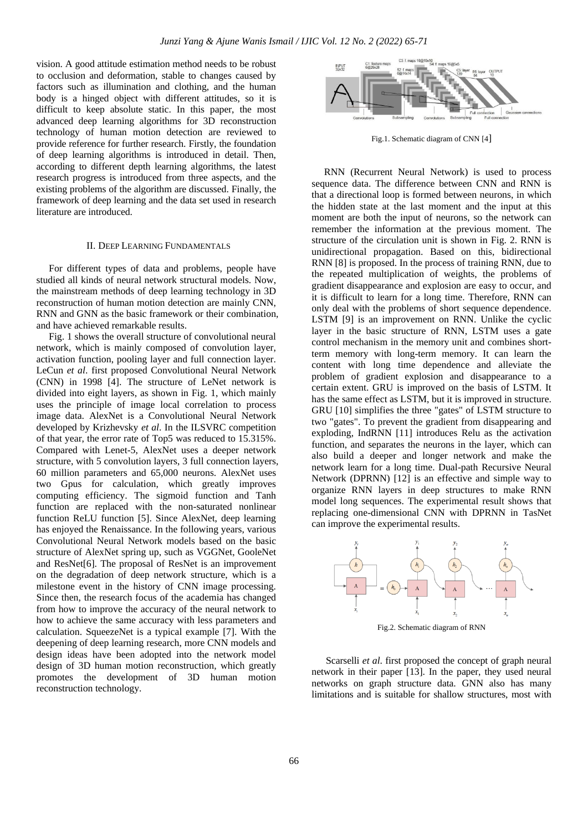vision. A good attitude estimation method needs to be robust to occlusion and deformation, stable to changes caused by factors such as illumination and clothing, and the human body is a hinged object with different attitudes, so it is difficult to keep absolute static. In this paper, the most advanced deep learning algorithms for 3D reconstruction technology of human motion detection are reviewed to provide reference for further research. Firstly, the foundation of deep learning algorithms is introduced in detail. Then, according to different depth learning algorithms, the latest research progress is introduced from three aspects, and the existing problems of the algorithm are discussed. Finally, the framework of deep learning and the data set used in research literature are introduced.

#### II. DEEP LEARNING FUNDAMENTALS

For different types of data and problems, people have studied all kinds of neural network structural models. Now, the mainstream methods of deep learning technology in 3D reconstruction of human motion detection are mainly CNN, RNN and GNN as the basic framework or their combination, and have achieved remarkable results.

Fig. 1 shows the overall structure of convolutional neural network, which is mainly composed of convolution layer, activation function, pooling layer and full connection layer. LeCun *et al*. first proposed Convolutional Neural Network (CNN) in 1998 [4]. The structure of LeNet network is divided into eight layers, as shown in Fig. 1, which mainly uses the principle of image local correlation to process image data. AlexNet is a Convolutional Neural Network developed by Krizhevsky *et al*. In the ILSVRC competition of that year, the error rate of Top5 was reduced to 15.315%. Compared with Lenet-5, AlexNet uses a deeper network structure, with 5 convolution layers, 3 full connection layers, 60 million parameters and 65,000 neurons. AlexNet uses two Gpus for calculation, which greatly improves computing efficiency. The sigmoid function and Tanh function are replaced with the non-saturated nonlinear function ReLU function [5]. Since AlexNet, deep learning has enjoyed the Renaissance. In the following years, various Convolutional Neural Network models based on the basic structure of AlexNet spring up, such as VGGNet, GooleNet and ResNet[6]. The proposal of ResNet is an improvement on the degradation of deep network structure, which is a milestone event in the history of CNN image processing. Since then, the research focus of the academia has changed from how to improve the accuracy of the neural network to how to achieve the same accuracy with less parameters and calculation. SqueezeNet is a typical example [7]. With the deepening of deep learning research, more CNN models and design ideas have been adopted into the network model design of 3D human motion reconstruction, which greatly promotes the development of 3D human motion reconstruction technology.



Fig.1. Schematic diagram of CNN [4]

RNN (Recurrent Neural Network) is used to process sequence data. The difference between CNN and RNN is that a directional loop is formed between neurons, in which the hidden state at the last moment and the input at this moment are both the input of neurons, so the network can remember the information at the previous moment. The structure of the circulation unit is shown in Fig. 2. RNN is unidirectional propagation. Based on this, bidirectional RNN [8] is proposed. In the process of training RNN, due to the repeated multiplication of weights, the problems of gradient disappearance and explosion are easy to occur, and it is difficult to learn for a long time. Therefore, RNN can only deal with the problems of short sequence dependence. LSTM [9] is an improvement on RNN. Unlike the cyclic layer in the basic structure of RNN, LSTM uses a gate control mechanism in the memory unit and combines shortterm memory with long-term memory. It can learn the content with long time dependence and alleviate the problem of gradient explosion and disappearance to a certain extent. GRU is improved on the basis of LSTM. It has the same effect as LSTM, but it is improved in structure. GRU [10] simplifies the three "gates" of LSTM structure to two "gates". To prevent the gradient from disappearing and exploding, IndRNN [11] introduces Relu as the activation function, and separates the neurons in the layer, which can also build a deeper and longer network and make the network learn for a long time. Dual-path Recursive Neural Network (DPRNN) [12] is an effective and simple way to organize RNN layers in deep structures to make RNN model long sequences. The experimental result shows that replacing one-dimensional CNN with DPRNN in TasNet can improve the experimental results.



Fig.2. Schematic diagram of RNN

Scarselli *et al*. first proposed the concept of graph neural network in their paper [13]. In the paper, they used neural networks on graph structure data. GNN also has many limitations and is suitable for shallow structures, most with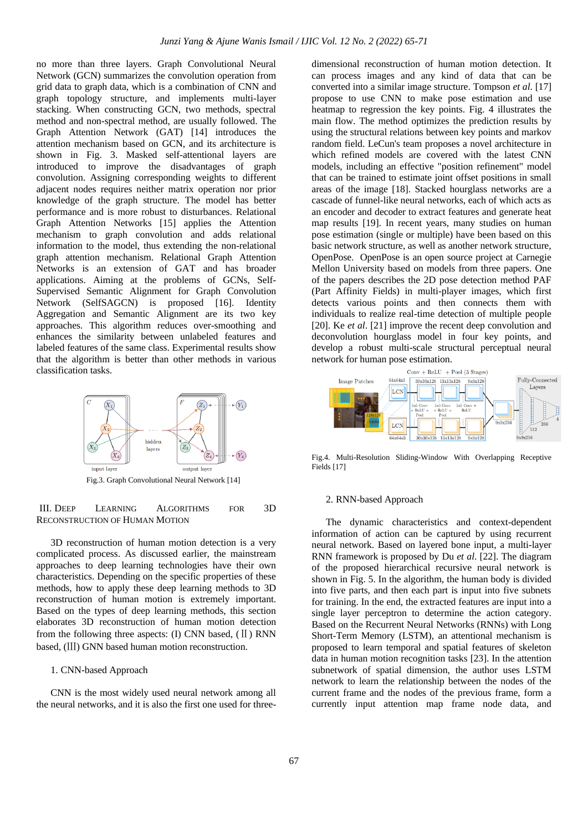no more than three layers. Graph Convolutional Neural Network (GCN) summarizes the convolution operation from grid data to graph data, which is a combination of CNN and graph topology structure, and implements multi-layer stacking. When constructing GCN, two methods, spectral method and non-spectral method, are usually followed. The Graph Attention Network (GAT) [14] introduces the attention mechanism based on GCN, and its architecture is shown in Fig. 3. Masked self-attentional layers are introduced to improve the disadvantages of graph convolution. Assigning corresponding weights to different adjacent nodes requires neither matrix operation nor prior knowledge of the graph structure. The model has better performance and is more robust to disturbances. Relational Graph Attention Networks [15] applies the Attention mechanism to graph convolution and adds relational information to the model, thus extending the non-relational graph attention mechanism. Relational Graph Attention Networks is an extension of GAT and has broader applications. Aiming at the problems of GCNs, Self-Supervised Semantic Alignment for Graph Convolution Network (SelfSAGCN) is proposed [16]. Identity Aggregation and Semantic Alignment are its two key approaches. This algorithm reduces over-smoothing and enhances the similarity between unlabeled features and labeled features of the same class. Experimental results show that the algorithm is better than other methods in various classification tasks.



III. DEEP LEARNING ALGORITHMS FOR 3D RECONSTRUCTION OF HUMAN MOTION

3D reconstruction of human motion detection is a very complicated process. As discussed earlier, the mainstream approaches to deep learning technologies have their own characteristics. Depending on the specific properties of these methods, how to apply these deep learning methods to 3D reconstruction of human motion is extremely important. Based on the types of deep learning methods, this section elaborates 3D reconstruction of human motion detection from the following three aspects:  $(I)$  CNN based,  $(I)$  RNN based, (Ⅲ) GNN based human motion reconstruction.

# 1. CNN-based Approach

CNN is the most widely used neural network among all the neural networks, and it is also the first one used for threedimensional reconstruction of human motion detection. It can process images and any kind of data that can be converted into a similar image structure. Tompson *et al*. [17] propose to use CNN to make pose estimation and use heatmap to regression the key points. Fig. 4 illustrates the main flow. The method optimizes the prediction results by using the structural relations between key points and markov random field. LeCun's team proposes a novel architecture in which refined models are covered with the latest CNN models, including an effective "position refinement" model that can be trained to estimate joint offset positions in small areas of the image [18]. Stacked hourglass networks are a cascade of funnel-like neural networks, each of which acts as an encoder and decoder to extract features and generate heat map results [19]. In recent years, many studies on human pose estimation (single or multiple) have been based on this basic network structure, as well as another network structure, OpenPose. OpenPose is an open source project at Carnegie Mellon University based on models from three papers. One of the papers describes the 2D pose detection method PAF (Part Affinity Fields) in multi-player images, which first detects various points and then connects them with individuals to realize real-time detection of multiple people [20]. Ke *et al*. [21] improve the recent deep convolution and deconvolution hourglass model in four key points, and develop a robust multi-scale structural perceptual neural network for human pose estimation.



Fig.4. Multi-Resolution Sliding-Window With Overlapping Receptive Fields [17]

#### 2. RNN-based Approach

The dynamic characteristics and context-dependent information of action can be captured by using recurrent neural network. Based on layered bone input, a multi-layer RNN framework is proposed by Du *et al*. [22]. The diagram of the proposed hierarchical recursive neural network is shown in Fig. 5. In the algorithm, the human body is divided into five parts, and then each part is input into five subnets for training. In the end, the extracted features are input into a single layer perceptron to determine the action category. Based on the Recurrent Neural Networks (RNNs) with Long Short-Term Memory (LSTM), an attentional mechanism is proposed to learn temporal and spatial features of skeleton data in human motion recognition tasks [23]. In the attention subnetwork of spatial dimension, the author uses LSTM network to learn the relationship between the nodes of the current frame and the nodes of the previous frame, form a currently input attention map frame node data, and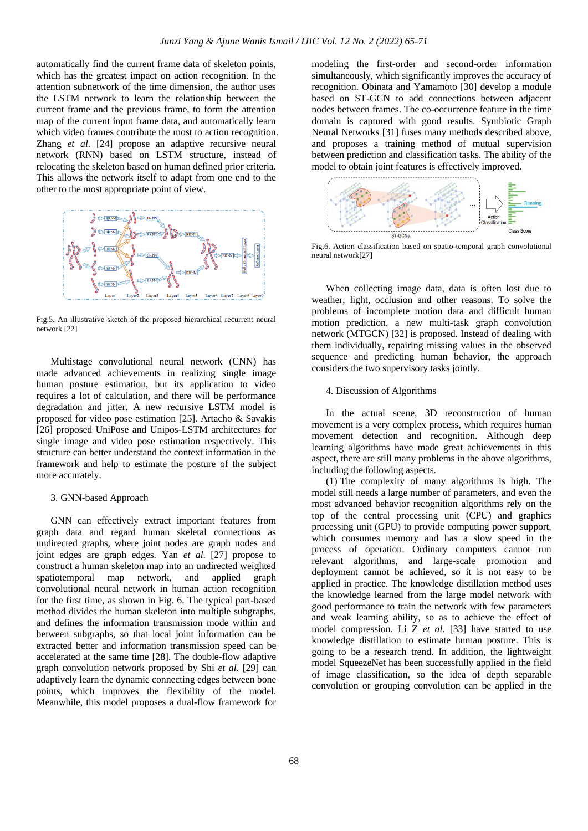automatically find the current frame data of skeleton points, which has the greatest impact on action recognition. In the attention subnetwork of the time dimension, the author uses the LSTM network to learn the relationship between the current frame and the previous frame, to form the attention map of the current input frame data, and automatically learn which video frames contribute the most to action recognition. Zhang *et al*. [24] propose an adaptive recursive neural network (RNN) based on LSTM structure, instead of relocating the skeleton based on human defined prior criteria. This allows the network itself to adapt from one end to the other to the most appropriate point of view.



Fig.5. An illustrative sketch of the proposed hierarchical recurrent neural network [22]

Multistage convolutional neural network (CNN) has made advanced achievements in realizing single image human posture estimation, but its application to video requires a lot of calculation, and there will be performance degradation and jitter. A new recursive LSTM model is proposed for video pose estimation [25]. Artacho & Savakis [26] proposed UniPose and Unipos-LSTM architectures for single image and video pose estimation respectively. This structure can better understand the context information in the framework and help to estimate the posture of the subject more accurately.

# 3. GNN-based Approach

GNN can effectively extract important features from graph data and regard human skeletal connections as undirected graphs, where joint nodes are graph nodes and joint edges are graph edges. Yan *et al*. [27] propose to construct a human skeleton map into an undirected weighted spatiotemporal map network, and applied graph convolutional neural network in human action recognition for the first time, as shown in Fig. 6. The typical part-based method divides the human skeleton into multiple subgraphs, and defines the information transmission mode within and between subgraphs, so that local joint information can be extracted better and information transmission speed can be accelerated at the same time [28]. The double-flow adaptive graph convolution network proposed by Shi *et al*. [29] can adaptively learn the dynamic connecting edges between bone points, which improves the flexibility of the model. Meanwhile, this model proposes a dual-flow framework for modeling the first-order and second-order information simultaneously, which significantly improves the accuracy of recognition. Obinata and Yamamoto [30] develop a module based on ST-GCN to add connections between adjacent nodes between frames. The co-occurrence feature in the time domain is captured with good results. Symbiotic Graph Neural Networks [31] fuses many methods described above, and proposes a training method of mutual supervision between prediction and classification tasks. The ability of the model to obtain joint features is effectively improved.



Fig.6. Action classification based on spatio-temporal graph convolutional neural network[27]

When collecting image data, data is often lost due to weather, light, occlusion and other reasons. To solve the problems of incomplete motion data and difficult human motion prediction, a new multi-task graph convolution network (MTGCN) [32] is proposed. Instead of dealing with them individually, repairing missing values in the observed sequence and predicting human behavior, the approach considers the two supervisory tasks jointly.

# 4. Discussion of Algorithms

In the actual scene, 3D reconstruction of human movement is a very complex process, which requires human movement detection and recognition. Although deep learning algorithms have made great achievements in this aspect, there are still many problems in the above algorithms, including the following aspects.

(1) The complexity of many algorithms is high. The model still needs a large number of parameters, and even the most advanced behavior recognition algorithms rely on the top of the central processing unit (CPU) and graphics processing unit (GPU) to provide computing power support, which consumes memory and has a slow speed in the process of operation. Ordinary computers cannot run relevant algorithms, and large-scale promotion and deployment cannot be achieved, so it is not easy to be applied in practice. The knowledge distillation method uses the knowledge learned from the large model network with good performance to train the network with few parameters and weak learning ability, so as to achieve the effect of model compression. Li Z *et al*. [33] have started to use knowledge distillation to estimate human posture. This is going to be a research trend. In addition, the lightweight model SqueezeNet has been successfully applied in the field of image classification, so the idea of depth separable convolution or grouping convolution can be applied in the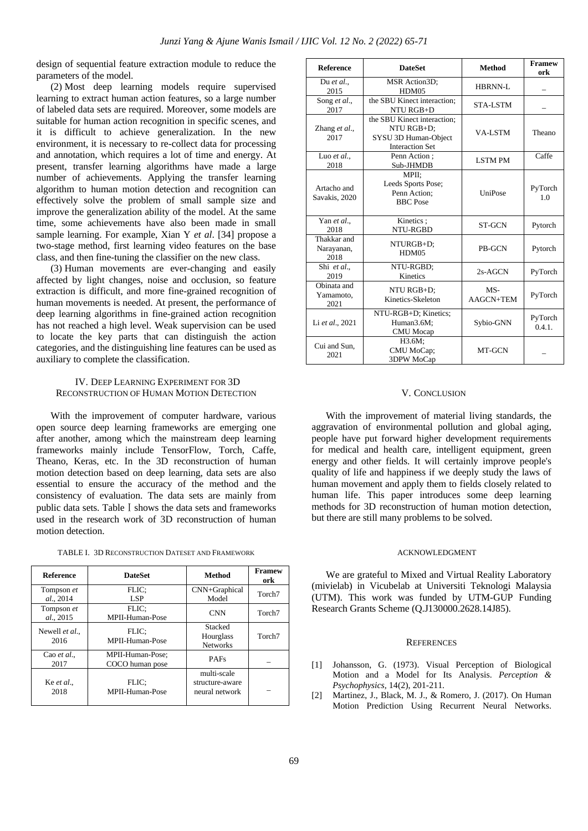design of sequential feature extraction module to reduce the parameters of the model.

(2) Most deep learning models require supervised learning to extract human action features, so a large number of labeled data sets are required. Moreover, some models are suitable for human action recognition in specific scenes, and it is difficult to achieve generalization. In the new environment, it is necessary to re-collect data for processing and annotation, which requires a lot of time and energy. At present, transfer learning algorithms have made a large number of achievements. Applying the transfer learning algorithm to human motion detection and recognition can effectively solve the problem of small sample size and improve the generalization ability of the model. At the same time, some achievements have also been made in small sample learning. For example, Xian Y *et al*. [34] propose a two-stage method, first learning video features on the base class, and then fine-tuning the classifier on the new class.

(3) Human movements are ever-changing and easily affected by light changes, noise and occlusion, so feature extraction is difficult, and more fine-grained recognition of human movements is needed. At present, the performance of deep learning algorithms in fine-grained action recognition has not reached a high level. Weak supervision can be used to locate the key parts that can distinguish the action categories, and the distinguishing line features can be used as auxiliary to complete the classification.

# IV. DEEP LEARNING EXPERIMENT FOR 3D RECONSTRUCTION OF HUMAN MOTION DETECTION

With the improvement of computer hardware, various open source deep learning frameworks are emerging one after another, among which the mainstream deep learning frameworks mainly include TensorFlow, Torch, Caffe, Theano, Keras, etc. In the 3D reconstruction of human motion detection based on deep learning, data sets are also essential to ensure the accuracy of the method and the consistency of evaluation. The data sets are mainly from public data sets. Table I shows the data sets and frameworks used in the research work of 3D reconstruction of human motion detection.

| <b>Reference</b>         | <b>DateSet</b>                      | Method                                           | <b>Framew</b><br>ork |
|--------------------------|-------------------------------------|--------------------------------------------------|----------------------|
| Tompson et<br>al., 2014  | FLIC:<br>LSP <sub>1</sub>           | CNN+Graphical<br>Model                           | Torch <sub>7</sub>   |
| Tompson et<br>al., 2015  | FLIC:<br>MPII-Human-Pose            | <b>CNN</b>                                       | Torch <sub>7</sub>   |
| Newell et al<br>2016     | FLIC:<br>MPII-Human-Pose            | Stacked<br>Hourglass<br><b>Networks</b>          | Torch <sub>7</sub>   |
| Cao et al.,<br>2017      | MPII-Human-Pose;<br>COCO human pose | <b>PAFs</b>                                      |                      |
| Ke <i>et al.</i><br>2018 | FLIC:<br>MPII-Human-Pose            | multi-scale<br>structure-aware<br>neural network |                      |

| <b>Reference</b>                  | <b>DateSet</b>                                                                              | <b>Method</b>      | <b>Framew</b><br>ork |
|-----------------------------------|---------------------------------------------------------------------------------------------|--------------------|----------------------|
| Du et al.,<br>2015                | MSR Action3D;<br>HDM05                                                                      | HBRNN-L            |                      |
| Song et al.,<br>2017              | the SBU Kinect interaction;<br>NTU RGB+D                                                    | <b>STA-LSTM</b>    |                      |
| Zhang et al.,<br>2017             | the SBU Kinect interaction;<br>NTU RGB+D;<br>SYSU 3D Human-Object<br><b>Interaction Set</b> | VA-LSTM            | Theano               |
| Luo et al.,<br>2018               | Penn Action:<br>Sub-JHMDB                                                                   | <b>LSTMPM</b>      | Caffe                |
| Artacho and<br>Savakis, 2020      | MPII:<br>Leeds Sports Pose;<br>Penn Action;<br><b>BBC</b> Pose                              | UniPose            | PyTorch<br>1.0       |
| Yan et al.,<br>2018               | Kinetics:<br>NTU-RGBD                                                                       | <b>ST-GCN</b>      | Pytorch              |
| Thakkar and<br>Narayanan,<br>2018 | NTURGB+D:<br>HDM05                                                                          | <b>PB-GCN</b>      | Pytorch              |
| Shi et al.,<br>2019               | NTU-RGBD:<br>Kinetics                                                                       | $2s-AGCN$          | PyTorch              |
| Obinata and<br>Yamamoto,<br>2021  | NTU RGB+D:<br>Kinetics-Skeleton                                                             | $MS-$<br>AAGCN+TEM | PyTorch              |
| Li et al., 2021                   | NTU-RGB+D; Kinetics;<br>Human3.6M;<br><b>CMU</b> Mocap                                      | Sybio-GNN          | PyTorch<br>0.4.1.    |
| Cui and Sun,<br>2021              | H3.6M:<br>CMU MoCap;<br>3DPW MoCap                                                          | MT-GCN             |                      |

#### V. CONCLUSION

With the improvement of material living standards, the aggravation of environmental pollution and global aging, people have put forward higher development requirements for medical and health care, intelligent equipment, green energy and other fields. It will certainly improve people's quality of life and happiness if we deeply study the laws of human movement and apply them to fields closely related to human life. This paper introduces some deep learning methods for 3D reconstruction of human motion detection, but there are still many problems to be solved.

# ACKNOWLEDGMENT

We are grateful to Mixed and Virtual Reality Laboratory (mivielab) in Vicubelab at Universiti Teknologi Malaysia (UTM). This work was funded by UTM-GUP Funding Research Grants Scheme (Q.J130000.2628.14J85).

#### **REFERENCES**

- [1] Johansson, G. (1973). Visual Perception of Biological Motion and a Model for Its Analysis. *Perception & Psychophysics,* 14(2), 201-211.
- [2] Martinez, J., Black, M. J., & Romero, J. (2017). On Human Motion Prediction Using Recurrent Neural Networks.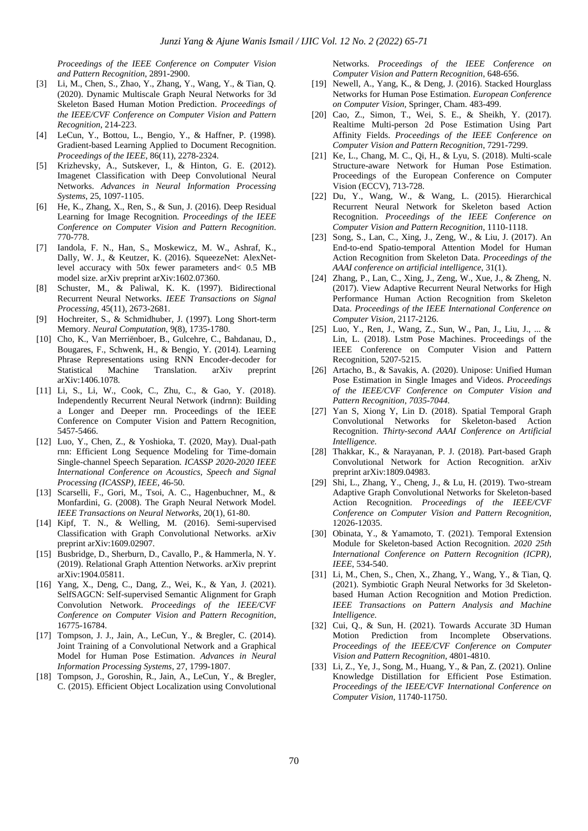*Proceedings of the IEEE Conference on Computer Vision and Pattern Recognition*, 2891-2900.

- [3] Li, M., Chen, S., Zhao, Y., Zhang, Y., Wang, Y., & Tian, Q. (2020). Dynamic Multiscale Graph Neural Networks for 3d Skeleton Based Human Motion Prediction. *Proceedings of the IEEE/CVF Conference on Computer Vision and Pattern Recognition*, 214-223.
- [4] LeCun, Y., Bottou, L., Bengio, Y., & Haffner, P. (1998). Gradient-based Learning Applied to Document Recognition. *Proceedings of the IEEE*, 86(11), 2278-2324.
- [5] Krizhevsky, A., Sutskever, I., & Hinton, G. E. (2012). Imagenet Classification with Deep Convolutional Neural Networks. *Advances in Neural Information Processing Systems*, 25, 1097-1105.
- [6] He, K., Zhang, X., Ren, S., & Sun, J. (2016). Deep Residual Learning for Image Recognition. *Proceedings of the IEEE Conference on Computer Vision and Pattern Recognition*. 770-778.
- [7] Iandola, F. N., Han, S., Moskewicz, M. W., Ashraf, K., Dally, W. J., & Keutzer, K. (2016). SqueezeNet: AlexNetlevel accuracy with 50x fewer parameters and< 0.5 MB model size. arXiv preprint arXiv:1602.07360.
- [8] Schuster, M., & Paliwal, K. K. (1997). Bidirectional Recurrent Neural Networks. *IEEE Transactions on Signal Processing,* 45(11), 2673-2681.
- [9] Hochreiter, S., & Schmidhuber, J. (1997). Long Short-term Memory. *Neural Computation*, 9(8), 1735-1780.
- [10] Cho, K., Van Merriënboer, B., Gulcehre, C., Bahdanau, D., Bougares, F., Schwenk, H., & Bengio, Y. (2014). Learning Phrase Representations using RNN Encoder-decoder for Statistical Machine Translation. arXiv preprint arXiv:1406.1078.
- [11] Li, S., Li, W., Cook, C., Zhu, C., & Gao, Y. (2018). Independently Recurrent Neural Network (indrnn): Building a Longer and Deeper rnn. Proceedings of the IEEE Conference on Computer Vision and Pattern Recognition, 5457-5466.
- [12] Luo, Y., Chen, Z., & Yoshioka, T. (2020, May). Dual-path rnn: Efficient Long Sequence Modeling for Time-domain Single-channel Speech Separation*. ICASSP 2020-2020 IEEE International Conference on Acoustics, Speech and Signal Processing (ICASSP), IEEE,* 46-50.
- [13] Scarselli, F., Gori, M., Tsoi, A. C., Hagenbuchner, M., & Monfardini, G. (2008). The Graph Neural Network Model. *IEEE Transactions on Neural Networks,* 20(1), 61-80.
- [14] Kipf, T. N., & Welling, M. (2016). Semi-supervised Classification with Graph Convolutional Networks. arXiv preprint arXiv:1609.02907.
- [15] Busbridge, D., Sherburn, D., Cavallo, P., & Hammerla, N. Y. (2019). Relational Graph Attention Networks. arXiv preprint arXiv:1904.05811.
- [16] Yang, X., Deng, C., Dang, Z., Wei, K., & Yan, J. (2021). SelfSAGCN: Self-supervised Semantic Alignment for Graph Convolution Network. *Proceedings of the IEEE/CVF Conference on Computer Vision and Pattern Recognition*, 16775-16784.
- [17] Tompson, J. J., Jain, A., LeCun, Y., & Bregler, C. (2014). Joint Training of a Convolutional Network and a Graphical Model for Human Pose Estimation. *Advances in Neural Information Processing Systems*, 27, 1799-1807.
- [18] Tompson, J., Goroshin, R., Jain, A., LeCun, Y., & Bregler, C. (2015). Efficient Object Localization using Convolutional

Networks. *Proceedings of the IEEE Conference on Computer Vision and Pattern Recognition*, 648-656.

- [19] Newell, A., Yang, K., & Deng, J. (2016). Stacked Hourglass Networks for Human Pose Estimation. *European Conference on Computer Vision,* Springer, Cham. 483-499.
- [20] Cao, Z., Simon, T., Wei, S. E., & Sheikh, Y. (2017). Realtime Multi-person 2d Pose Estimation Using Part Affinity Fields. *Proceedings of the IEEE Conference on Computer Vision and Pattern Recognition*, 7291-7299.
- [21] Ke, L., Chang, M. C., Qi, H., & Lyu, S. (2018). Multi-scale Structure-aware Network for Human Pose Estimation. Proceedings of the European Conference on Computer Vision (ECCV), 713-728.
- [22] Du, Y., Wang, W., & Wang, L. (2015). Hierarchical Recurrent Neural Network for Skeleton based Action Recognition. *Proceedings of the IEEE Conference on Computer Vision and Pattern Recognition*, 1110-1118.
- [23] Song, S., Lan, C., Xing, J., Zeng, W., & Liu, J. (2017). An End-to-end Spatio-temporal Attention Model for Human Action Recognition from Skeleton Data. *Proceedings of the AAAI conference on artificial intelligence*, 31(1).
- [24] Zhang, P., Lan, C., Xing, J., Zeng, W., Xue, J., & Zheng, N. (2017). View Adaptive Recurrent Neural Networks for High Performance Human Action Recognition from Skeleton Data. *Proceedings of the IEEE International Conference on Computer Vision,* 2117-2126.
- [25] Luo, Y., Ren, J., Wang, Z., Sun, W., Pan, J., Liu, J., ... & Lin, L. (2018). Lstm Pose Machines. Proceedings of the IEEE Conference on Computer Vision and Pattern Recognition, 5207-5215.
- [26] Artacho, B., & Savakis, A. (2020). Unipose: Unified Human Pose Estimation in Single Images and Videos. *Proceedings of the IEEE/CVF Conference on Computer Vision and Pattern Recognition, 7035-7044*.
- [27] Yan S, Xiong Y, Lin D. (2018). Spatial Temporal Graph Convolutional Networks for Skeleton-based Action Recognition. *Thirty-second AAAI Conference on Artificial Intelligence.*
- [28] Thakkar, K., & Narayanan, P. J. (2018). Part-based Graph Convolutional Network for Action Recognition. arXiv preprint arXiv:1809.04983.
- [29] Shi, L., Zhang, Y., Cheng, J., & Lu, H. (2019). Two-stream Adaptive Graph Convolutional Networks for Skeleton-based Action Recognition. *Proceedings of the IEEE/CVF Conference on Computer Vision and Pattern Recognition,* 12026-12035.
- [30] Obinata, Y., & Yamamoto, T. (2021). Temporal Extension Module for Skeleton-based Action Recognition. *2020 25th International Conference on Pattern Recognition (ICPR), IEEE*, 534-540.
- [31] Li, M., Chen, S., Chen, X., Zhang, Y., Wang, Y., & Tian, Q. (2021). Symbiotic Graph Neural Networks for 3d Skeletonbased Human Action Recognition and Motion Prediction. *IEEE Transactions on Pattern Analysis and Machine Intelligence.*
- [32] Cui, Q., & Sun, H. (2021). Towards Accurate 3D Human Motion Prediction from Incomplete Observations. *Proceedings of the IEEE/CVF Conference on Computer Vision and Pattern Recognition*, 4801-4810.
- [33] Li, Z., Ye, J., Song, M., Huang, Y., & Pan, Z. (2021). Online Knowledge Distillation for Efficient Pose Estimation. *Proceedings of the IEEE/CVF International Conference on Computer Vision*, 11740-11750.